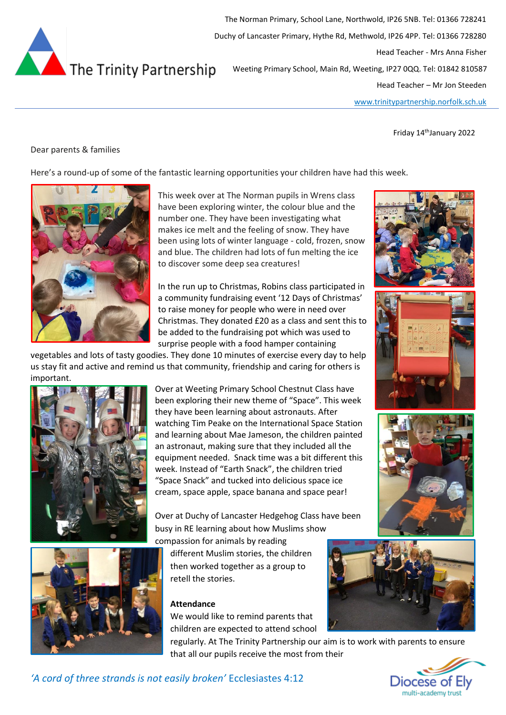

The Norman Primary, School Lane, Northwold, IP26 5NB. Tel: 01366 728241 Duchy of Lancaster Primary, Hythe Rd, Methwold, IP26 4PP. Tel: 01366 728280 Head Teacher - Mrs Anna Fisher Weeting Primary School, Main Rd, Weeting, IP27 0QQ. Tel: 01842 810587 Head Teacher – Mr Jon Steeden

[www.trinitypartnership.norfolk.sch.uk](http://www.trinitypartnership.norfolk.sch.uk/)

Friday 14<sup>th</sup>January 2022

## Dear parents & families

Here's a round-up of some of the fantastic learning opportunities your children have had this week.



This week over at The Norman pupils in Wrens class have been exploring winter, the colour blue and the number one. They have been investigating what makes ice melt and the feeling of snow. They have been using lots of winter language - cold, frozen, snow and blue. The children had lots of fun melting the ice to discover some deep sea creatures!

In the run up to Christmas, Robins class participated in a community fundraising event '12 Days of Christmas' to raise money for people who were in need over Christmas. They donated £20 as a class and sent this to be added to the fundraising pot which was used to surprise people with a food hamper containing

vegetables and lots of tasty goodies. They done 10 minutes of exercise every day to help us stay fit and active and remind us that community, friendship and caring for others is important.



Over at Weeting Primary School Chestnut Class have been exploring their new theme of "Space". This week they have been learning about astronauts. After watching Tim Peake on the International Space Station and learning about Mae Jameson, the children painted an astronaut, making sure that they included all the equipment needed. Snack time was a bit different this week. Instead of "Earth Snack", the children tried "Space Snack" and tucked into delicious space ice cream, space apple, space banana and space pear!

Over at Duchy of Lancaster Hedgehog Class have been busy in RE learning about how Muslims show

compassion for animals by reading

different Muslim stories, the children then worked together as a group to retell the stories.

# **Attendance**

We would like to remind parents that children are expected to attend school

regularly. At The Trinity Partnership our aim is to work with parents to ensure that all our pupils receive the most from their





*'A cord of three strands is not easily broken'* Ecclesiastes 4:12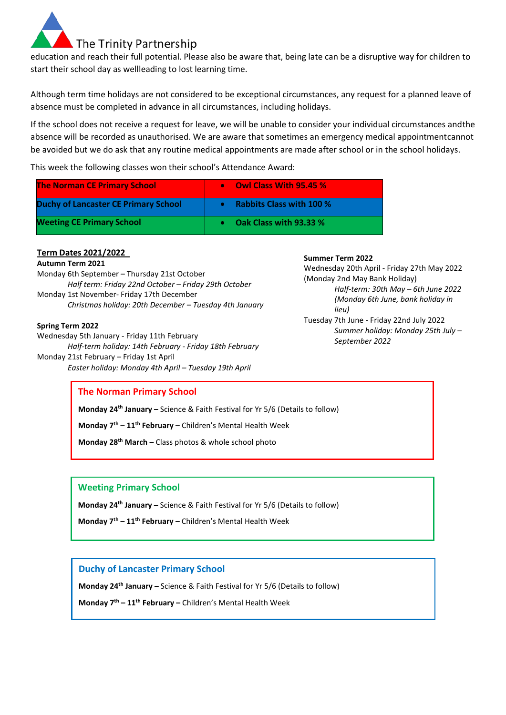

education and reach their full potential. Please also be aware that, being late can be a disruptive way for children to start their school day as wellleading to lost learning time.

Although term time holidays are not considered to be exceptional circumstances, any request for a planned leave of absence must be completed in advance in all circumstances, including holidays.

If the school does not receive a request for leave, we will be unable to consider your individual circumstances andthe absence will be recorded as unauthorised. We are aware that sometimes an emergency medical appointmentcannot be avoided but we do ask that any routine medical appointments are made after school or in the school holidays.

This week the following classes won their school's Attendance Award:

| <b>The Norman CE Primary School</b>         | <b>Owl Class With 95.45 %</b><br>$\bullet$ |
|---------------------------------------------|--------------------------------------------|
| <b>Duchy of Lancaster CE Primary School</b> | <b>Rabbits Class with 100 %</b>            |
| <b>Weeting CE Primary School</b>            | Oak Class with 93.33 %                     |

## **Term Dates 2021/2022**

### **Autumn Term 2021**

Monday 6th September – Thursday 21st October *Half term: Friday 22nd October – Friday 29th October* Monday 1st November- Friday 17th December *Christmas holiday: 20th December – Tuesday 4th January*

#### **Spring Term 2022**

Wednesday 5th January - Friday 11th February *Half-term holiday: 14th February - Friday 18th February* Monday 21st February – Friday 1st April *Easter holiday: Monday 4th April – Tuesday 19th April*

## **Summer Term 2022**

Wednesday 20th April - Friday 27th May 2022 (Monday 2nd May Bank Holiday) *Half-term: 30th May – 6th June 2022 (Monday 6th June, bank holiday in lieu)* Tuesday 7th June - Friday 22nd July 2022

*Summer holiday: Monday 25th July – September 2022*

# **The Norman Primary School**

**Monday 24th January –** Science & Faith Festival for Yr 5/6 (Details to follow)

**Monday 7th – 11th February –** Children's Mental Health Week

**Monday 28th March –** Class photos & whole school photo

**Weeting Primary School**

**Monday 24th January –** Science & Faith Festival for Yr 5/6 (Details to follow)

**Monday 7th – 11th February –** Children's Mental Health Week

## **Duchy of Lancaster Primary School**

**Monday 24th January –** Science & Faith Festival for Yr 5/6 (Details to follow)

**Monday 7th – 11th February –** Children's Mental Health Week